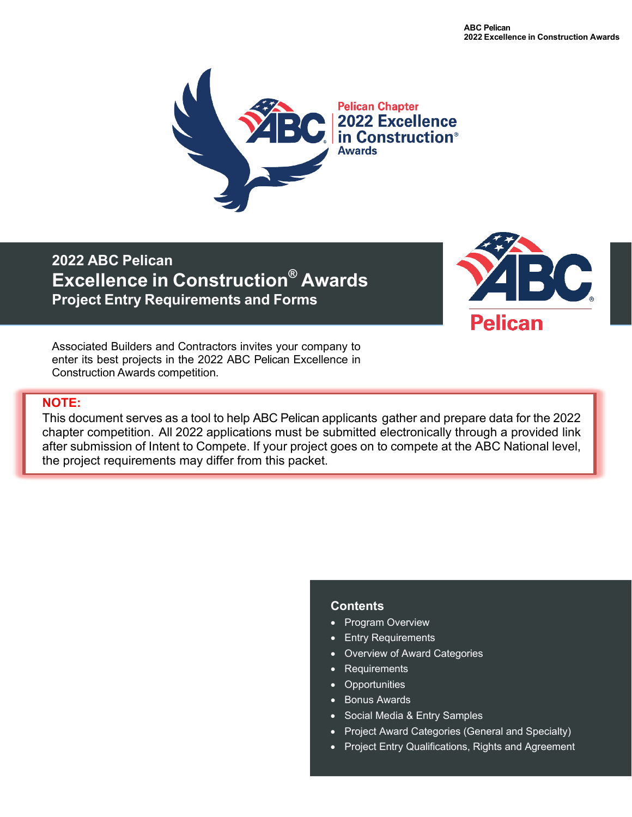

**2022 ABC Pelican Excellence in Construction® Awards Project Entry Requirements and Forms**



Associated Builders and Contractors invites your company to enter its best projects in the 2022 ABC Pelican Excellence in Construction Awards competition.

## **NOTE:**

This document serves as a tool to help ABC Pelican applicants gather and prepare data for the 2022 chapter competition. All 2022 applications must be submitted electronically through a provided link after submission of Intent to Compete. If your project goes on to compete at the ABC National level, the project requirements may differ from this packet.

## **Contents**

- Program Overview
- Entry Requirements
- Overview of Award Categories
- Requirements
- Opportunities
- Bonus Awards
- Social Media & Entry Samples
- Project Award Categories (General and Specialty)
- Project Entry Qualifications, Rights and Agreement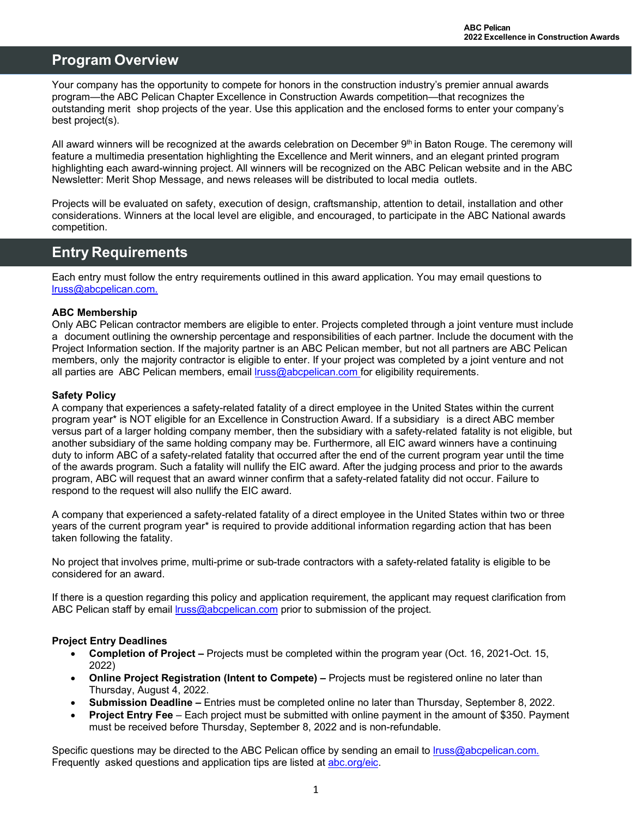## **Program Overview**

Your company has the opportunity to compete for honors in the construction industry's premier annual awards program—the ABC Pelican Chapter Excellence in Construction Awards competition—that recognizes the outstanding merit shop projects of the year. Use this application and the enclosed forms to enter your company's best project(s).

All award winners will be recognized at the awards celebration on December 9th in Baton Rouge. The ceremony will feature a multimedia presentation highlighting the Excellence and Merit winners, and an elegant printed program highlighting each award-winning project. All winners will be recognized on the ABC Pelican website and in the ABC Newsletter: Merit Shop Message, and news releases will be distributed to local media outlets.

Projects will be evaluated on safety, execution of design, craftsmanship, attention to detail, installation and other considerations. Winners at the local level are eligible, and encouraged, to participate in the ABC National awards competition.

# **Entry Requirements**

Each entry must follow the entry requirements outlined in this award application. You may email questions to [lruss@abcpelican.com.](mailto:lruss@abcpelican.com.)

## **ABC Membership**

Only ABC Pelican contractor members are eligible to enter. Projects completed through a joint venture must include a document outlining the ownership percentage and responsibilities of each partner. Include the document with the Project Information section. If the majority partner is an ABC Pelican member, but not all partners are ABC Pelican members, only the majority contractor is eligible to enter. If your project was completed by a joint venture and not all parties are ABC Pelican members, email [lruss@abcpelican.com](mailto:lruss@abcpelican.com) for eligibility requirements.

#### **Safety Policy**

A company that experiences a safety-related fatality of a direct employee in the United States within the current program year\* is NOT eligible for an Excellence in Construction Award. If a subsidiary is a direct ABC member versus part of a larger holding company member, then the subsidiary with a safety-related fatality is not eligible, but another subsidiary of the same holding company may be. Furthermore, all EIC award winners have a continuing duty to inform ABC of a safety-related fatality that occurred after the end of the current program year until the time of the awards program. Such a fatality will nullify the EIC award. After the judging process and prior to the awards program, ABC will request that an award winner confirm that a safety-related fatality did not occur. Failure to respond to the request will also nullify the EIC award.

A company that experienced a safety-related fatality of a direct employee in the United States within two or three years of the current program year\* is required to provide additional information regarding action that has been taken following the fatality.

No project that involves prime, multi-prime or sub-trade contractors with a safety-related fatality is eligible to be considered for an award.

If there is a question regarding this policy and application requirement, the applicant may request clarification from ABC Pelican staff by emai[l lruss@abcpelican.com](mailto:lruss@abcpelican.com) prior to submission of the project.

## **Project Entry Deadlines**

- **Completion of Project** Projects must be completed within the program year (Oct. 16, 2021-Oct. 15, 2022)
- **Online Project Registration (Intent to Compete)** Projects must be registered online no later than Thursday, August 4, 2022.
- **Submission Deadline** Entries must be completed online no later than Thursday, September 8, 2022.
- **Project Entry Fee** Each project must be submitted with online payment in the amount of \$350. Payment must be received before Thursday, September 8, 2022 and is non-refundable.

Specific questions may be directed to the ABC Pelican office by sending an email to Iruss@abcpelican.com. Frequently asked questions and application tips are listed at abc.org/eic.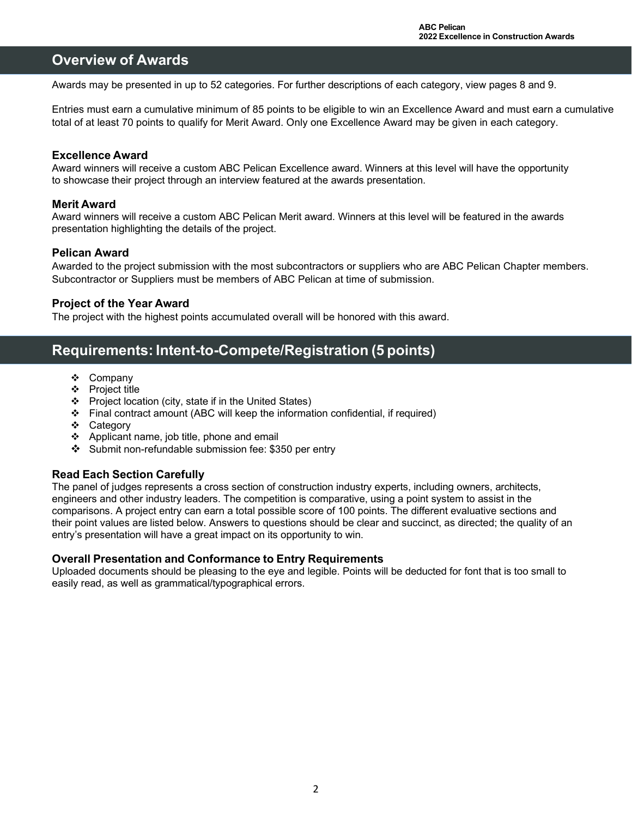## **Overview of Awards**

Awards may be presented in up to 52 categories. For further descriptions of each category, view pages 8 and 9.

Entries must earn a cumulative minimum of 85 points to be eligible to win an Excellence Award and must earn a cumulative total of at least 70 points to qualify for Merit Award. Only one Excellence Award may be given in each category.

## **Excellence Award**

Award winners will receive a custom ABC Pelican Excellence award. Winners at this level will have the opportunity to showcase their project through an interview featured at the awards presentation.

## **Merit Award**

Award winners will receive a custom ABC Pelican Merit award. Winners at this level will be featured in the awards presentation highlighting the details of the project.

## **Pelican Award**

Awarded to the project submission with the most subcontractors or suppliers who are ABC Pelican Chapter members. Subcontractor or Suppliers must be members of ABC Pelican at time of submission.

## **Project of the Year Award**

The project with the highest points accumulated overall will be honored with this award.

## **Requirements: Intent-to-Compete/Registration (5 points)**

- Company
- ❖ Project title
- $\div$  Project location (city, state if in the United States)
- Final contract amount (ABC will keep the information confidential, if required)
- Category
- ❖ Applicant name, job title, phone and email
- Submit non-refundable submission fee: \$350 per entry

## **Read Each Section Carefully**

The panel of judges represents a cross section of construction industry experts, including owners, architects, engineers and other industry leaders. The competition is comparative, using a point system to assist in the comparisons. A project entry can earn a total possible score of 100 points. The different evaluative sections and their point values are listed below. Answers to questions should be clear and succinct, as directed; the quality of an entry's presentation will have a great impact on its opportunity to win.

## **Overall Presentation and Conformance to Entry Requirements**

Uploaded documents should be pleasing to the eye and legible. Points will be deducted for font that is too small to easily read, as well as grammatical/typographical errors.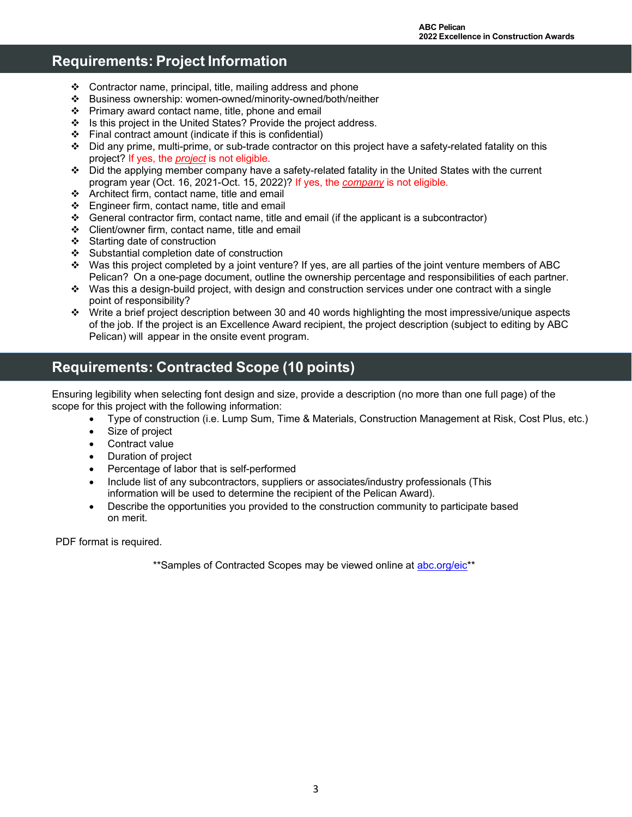# **Requirements: Project Information**

- Contractor name, principal, title, mailing address and phone
- Business ownership: women-owned/minority-owned/both/neither
- $\div$  Primary award contact name, title, phone and email
- $\div$  Is this project in the United States? Provide the project address.
- $\div$  Final contract amount (indicate if this is confidential)
- Did any prime, multi-prime, or sub-trade contractor on this project have a safety-related fatality on this project? If yes, the *project* is not eligible.
- Did the applying member company have a safety-related fatality in the United States with the current program year (Oct. 16, 2021-Oct. 15, 2022)? If yes, the *company* is not eligible.
- Architect firm, contact name, title and email
- $\div$  Engineer firm, contact name, title and email
- $\clubsuit$  General contractor firm, contact name, title and email (if the applicant is a subcontractor)
- Client/owner firm, contact name, title and email
- ❖ Starting date of construction
- Substantial completion date of construction
- Was this project completed by a joint venture? If yes, are all parties of the joint venture members of ABC Pelican? On a one-page document, outline the ownership percentage and responsibilities of each partner.
- $\cdot \cdot$  Was this a design-build project, with design and construction services under one contract with a single point of responsibility?
- $\cdot \cdot$  Write a brief project description between 30 and 40 words highlighting the most impressive/unique aspects of the job. If the project is an Excellence Award recipient, the project description (subject to editing by ABC Pelican) will appear in the onsite event program.

# **Requirements: Contracted Scope (10 points)**

Ensuring legibility when selecting font design and size, provide a description (no more than one full page) of the scope for this project with the following information:

- Type of construction (i.e. Lump Sum, Time & Materials, Construction Management at Risk, Cost Plus, etc.)
- Size of project
- Contract value
- Duration of project
- Percentage of labor that is self-performed
- Include list of any subcontractors, suppliers or associates/industry professionals (This information will be used to determine the recipient of the Pelican Award).
- Describe the opportunities you provided to the construction community to participate based on merit.

PDF format is required.

\*\*Samples of Contracted Scopes may be viewed online at abc.org/eic\*\*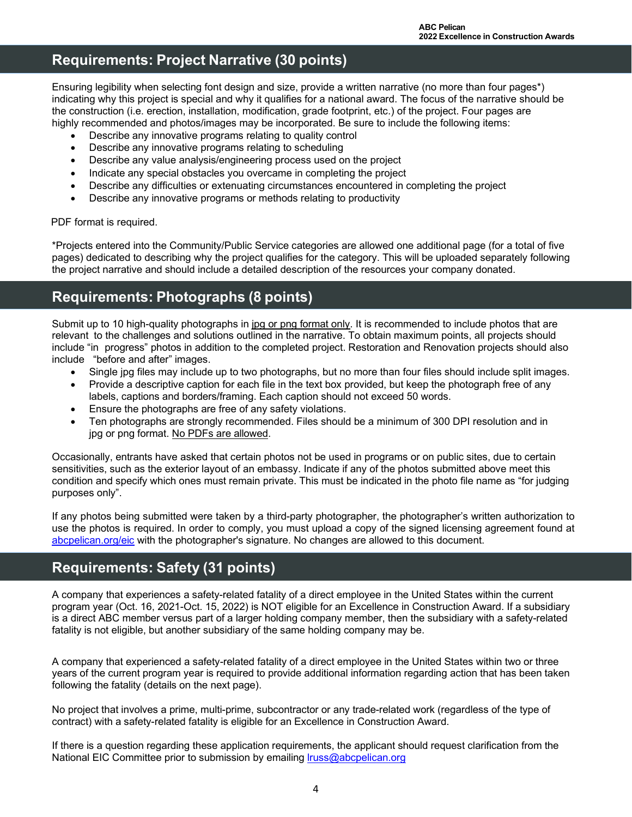# **Requirements: Project Narrative (30 points)**

Ensuring legibility when selecting font design and size, provide a written narrative (no more than four pages\*) indicating why this project is special and why it qualifies for a national award. The focus of the narrative should be the construction (i.e. erection, installation, modification, grade footprint, etc.) of the project. Four pages are highly recommended and photos/images may be incorporated. Be sure to include the following items:

- Describe any innovative programs relating to quality control
- Describe any innovative programs relating to scheduling
- Describe any value analysis/engineering process used on the project
- Indicate any special obstacles you overcame in completing the project
- Describe any difficulties or extenuating circumstances encountered in completing the project
- Describe any innovative programs or methods relating to productivity

#### PDF format is required.

\*Projects entered into the Community/Public Service categories are allowed one additional page (for a total of five pages) dedicated to describing why the project qualifies for the category. This will be uploaded separately following the project narrative and should include a detailed description of the resources your company donated.

## **Requirements: Photographs (8 points)**

Submit up to 10 high-quality photographs in jpg or png format only. It is recommended to include photos that are relevant to the challenges and solutions outlined in the narrative. To obtain maximum points, all projects should include "in progress" photos in addition to the completed project. Restoration and Renovation projects should also include "before and after" images.

- Single jpg files may include up to two photographs, but no more than four files should include split images.
- Provide a descriptive caption for each file in the text box provided, but keep the photograph free of any labels, captions and borders/framing. Each caption should not exceed 50 words.
- Ensure the photographs are free of any safety violations.
- Ten photographs are strongly recommended. Files should be a minimum of 300 DPI resolution and in jpg or png format. No PDFs are allowed.

Occasionally, entrants have asked that certain photos not be used in programs or on public sites, due to certain sensitivities, such as the exterior layout of an embassy. Indicate if any of the photos submitted above meet this condition and specify which ones must remain private. This must be indicated in the photo file name as "for judging purposes only".

If any photos being submitted were taken by a third-party photographer, the photographer's written authorization to use the photos is required. In order to comply, you must upload a copy of the signed licensing agreement found at abcpelican.org/eic with the photographer's signature. No changes are allowed to this document.

## **Requirements: Safety (31 points)**

A company that experiences a safety-related fatality of a direct employee in the United States within the current program year (Oct. 16, 2021-Oct. 15, 2022) is NOT eligible for an Excellence in Construction Award. If a subsidiary is a direct ABC member versus part of a larger holding company member, then the subsidiary with a safety-related fatality is not eligible, but another subsidiary of the same holding company may be.

A company that experienced a safety-related fatality of a direct employee in the United States within two or three years of the current program year is required to provide additional information regarding action that has been taken following the fatality (details on the next page).

No project that involves a prime, multi-prime, subcontractor or any trade-related work (regardless of the type of contract) with a safety-related fatality is eligible for an Excellence in Construction Award.

If there is a question regarding these application requirements, the applicant should request clarification from the National EIC Committee prior to submission by emailing [lruss@abcpelican.org](mailto:lruss@abcpelican.org)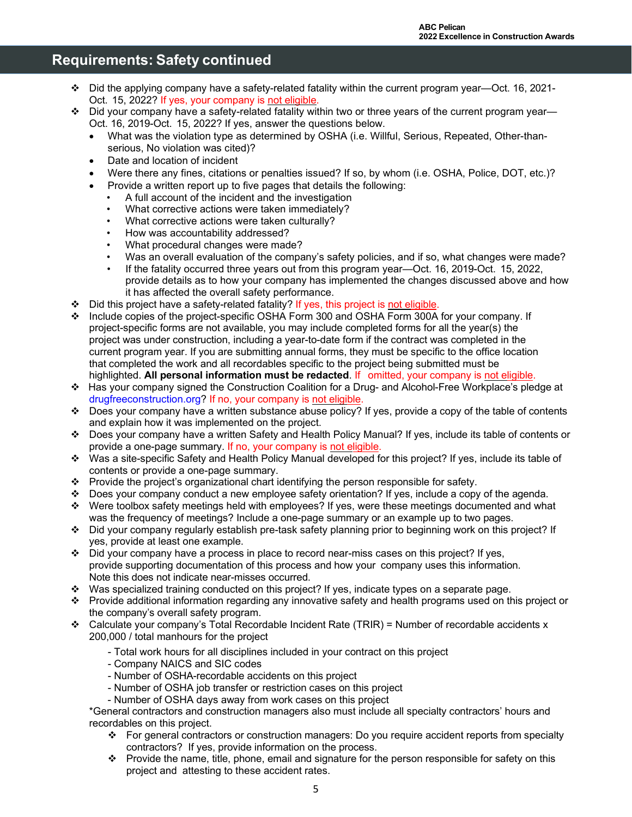## **Requirements: Safety continued**

- Did the applying company have a safety-related fatality within the current program year—Oct. 16, 2021- Oct. 15, 2022? If yes, your company is not eligible.
- Did your company have a safety-related fatality within two or three years of the current program year— Oct. 16, 2019-Oct. 15, 2022? If yes, answer the questions below.
	- What was the violation type as determined by OSHA (i.e. Willful, Serious, Repeated, Other-thanserious, No violation was cited)?
	- Date and location of incident
	- Were there any fines, citations or penalties issued? If so, by whom (i.e. OSHA, Police, DOT, etc.)?
	- Provide a written report up to five pages that details the following:
	- A full account of the incident and the investigation
	- What corrective actions were taken immediately?
	- What corrective actions were taken culturally?
	- How was accountability addressed?
	- What procedural changes were made?
	- Was an overall evaluation of the company's safety policies, and if so, what changes were made?
	- If the fatality occurred three years out from this program year—Oct. 16, 2019-Oct. 15, 2022, provide details as to how your company has implemented the changes discussed above and how it has affected the overall safety performance.
- $\div$  Did this project have a safety-related fatality? If yes, this project is not eligible.
- Include copies of the project-specific OSHA Form 300 and OSHA Form 300A for your company. If project-specific forms are not available, you may include completed forms for all the year(s) the project was under construction, including a year-to-date form if the contract was completed in the current program year. If you are submitting annual forms, they must be specific to the office location that completed the work and all recordables specific to the project being submitted must be highlighted. **All personal information must be redacted**. If omitted, your company is not eligible.
- Has your company signed the Construction Coalition for a Drug- and Alcohol-Free Workplace's pledge at drugfreeconstruction.org? If no, your company is not eligible.
- $\div$  Does your company have a written substance abuse policy? If yes, provide a copy of the table of contents and explain how it was implemented on the project.
- Does your company have a written Safety and Health Policy Manual? If yes, include its table of contents or provide a one-page summary. If no, your company is not eligible.
- Was a site-specific Safety and Health Policy Manual developed for this project? If yes, include its table of contents or provide a one-page summary.
- Provide the project's organizational chart identifying the person responsible for safety.
- Does your company conduct a new employee safety orientation? If yes, include a copy of the agenda.
- Were toolbox safety meetings held with employees? If yes, were these meetings documented and what was the frequency of meetings? Include a one-page summary or an example up to two pages.
- Did your company regularly establish pre-task safety planning prior to beginning work on this project? If yes, provide at least one example.
- $\div$  Did your company have a process in place to record near-miss cases on this project? If yes, provide supporting documentation of this process and how your company uses this information. Note this does not indicate near-misses occurred.
- Was specialized training conducted on this project? If yes, indicate types on a separate page.
- Provide additional information regarding any innovative safety and health programs used on this project or the company's overall safety program.
- Calculate your company's Total Recordable Incident Rate (TRIR) = Number of recordable accidents x 200,000 / total manhours for the project
	- Total work hours for all disciplines included in your contract on this project
	- Company NAICS and SIC codes
	- Number of OSHA-recordable accidents on this project
	- Number of OSHA job transfer or restriction cases on this project
	- Number of OSHA days away from work cases on this project

\*General contractors and construction managers also must include all specialty contractors' hours and recordables on this project.

- For general contractors or construction managers: Do you require accident reports from specialty contractors? If yes, provide information on the process.
- $\cdot \cdot$  Provide the name, title, phone, email and signature for the person responsible for safety on this project and attesting to these accident rates.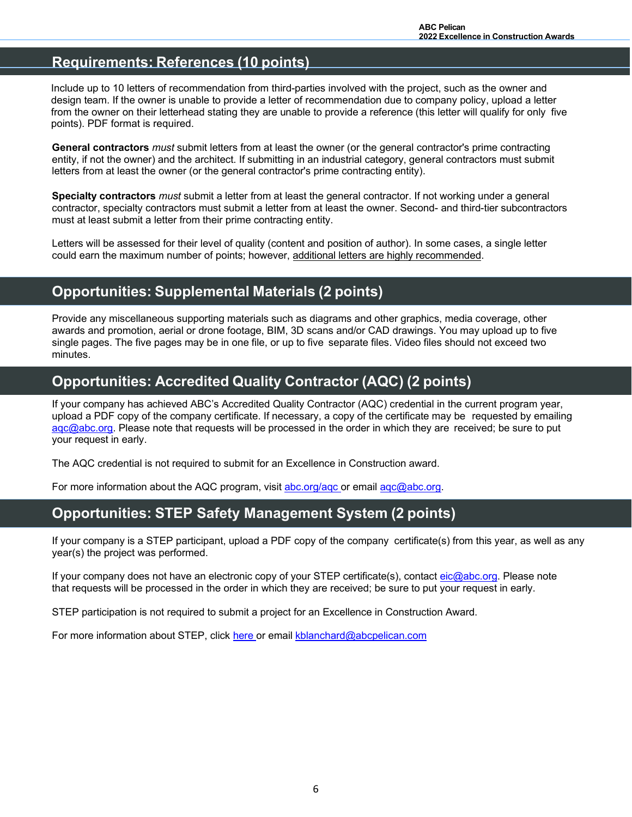## **Requirements: References (10 points)**

Include up to 10 letters of recommendation from third-parties involved with the project, such as the owner and design team. If the owner is unable to provide a letter of recommendation due to company policy, upload a letter from the owner on their letterhead stating they are unable to provide a reference (this letter will qualify for only five points). PDF format is required.

**General contractors** *must* submit letters from at least the owner (or the general contractor's prime contracting entity, if not the owner) and the architect. If submitting in an industrial category, general contractors must submit letters from at least the owner (or the general contractor's prime contracting entity).

**Specialty contractors** *must* submit a letter from at least the general contractor. If not working under a general contractor, specialty contractors must submit a letter from at least the owner. Second- and third-tier subcontractors must at least submit a letter from their prime contracting entity.

Letters will be assessed for their level of quality (content and position of author). In some cases, a single letter could earn the maximum number of points; however, additional letters are highly recommended.

# **Opportunities: Supplemental Materials (2 points)**

Provide any miscellaneous supporting materials such as diagrams and other graphics, media coverage, other awards and promotion, aerial or drone footage, BIM, 3D scans and/or CAD drawings. You may upload up to five single pages. The five pages may be in one file, or up to five separate files. Video files should not exceed two minutes.

## **Opportunities: Accredited Quality Contractor (AQC) (2 points)**

If your company has achieved ABC's Accredited Quality Contractor (AQC) credential in the current program year, upload a PDF copy of the company certificate. If necessary, a copy of the certificate may be requested by emailing [aqc@abc.org.](mailto:aqc@abc.org) Please note that requests will be processed in the order in which they are received; be sure to put your request in early.

The AQC credential is not required to submit for an Excellence in Construction award.

For more information about the AQC program, visit abc.org/aqc or email [aqc@abc.org.](mailto:aqc@abc.org)

# **Opportunities: STEP Safety Management System (2 points)**

If your company is a STEP participant, upload a PDF copy of the company certificate(s) from this year, as well as any year(s) the project was performed.

If your company does not have an electronic copy of your STEP certificate(s), contact [eic@abc.org.](mailto:eic@abc.org) Please note that requests will be processed in the order in which they are received; be sure to put your request in early.

STEP participation is not required to submit a project for an Excellence in Construction Award.

For more information about STEP, click [here](http://www.abcpelican.org/step.html) or email kblanchard@abcpelican.com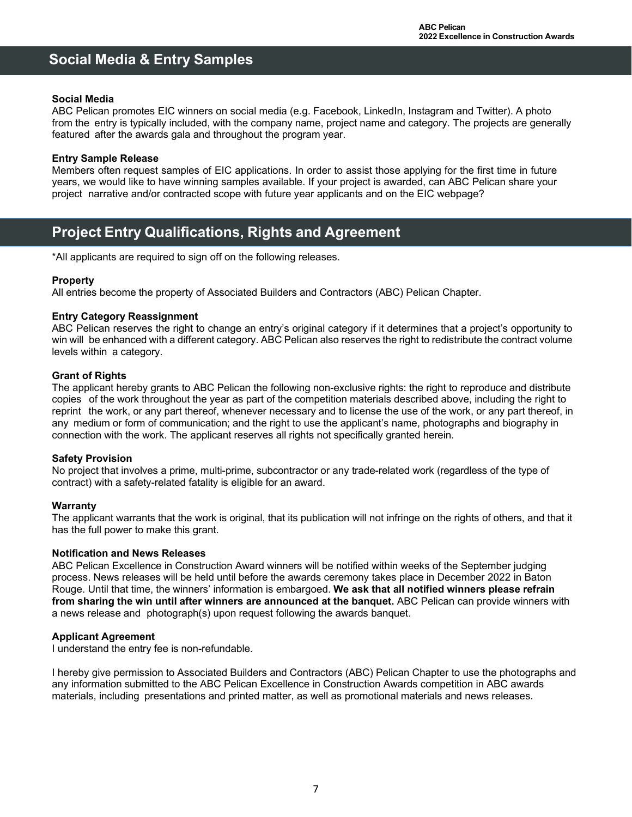# **Social Media & Entry Samples**

#### **Social Media**

ABC Pelican promotes EIC winners on social media (e.g. Facebook, LinkedIn, Instagram and Twitter). A photo from the entry is typically included, with the company name, project name and category. The projects are generally featured after the awards gala and throughout the program year.

#### **Entry Sample Release**

Members often request samples of EIC applications. In order to assist those applying for the first time in future years, we would like to have winning samples available. If your project is awarded, can ABC Pelican share your project narrative and/or contracted scope with future year applicants and on the EIC webpage?

## **Project Entry Qualifications, Rights and Agreement**

\*All applicants are required to sign off on the following releases.

#### **Property**

All entries become the property of Associated Builders and Contractors (ABC) Pelican Chapter.

#### **Entry Category Reassignment**

ABC Pelican reserves the right to change an entry's original category if it determines that a project's opportunity to win will be enhanced with a different category. ABC Pelican also reserves the right to redistribute the contract volume levels within a category.

#### **Grant of Rights**

The applicant hereby grants to ABC Pelican the following non-exclusive rights: the right to reproduce and distribute copies of the work throughout the year as part of the competition materials described above, including the right to reprint the work, or any part thereof, whenever necessary and to license the use of the work, or any part thereof, in any medium or form of communication; and the right to use the applicant's name, photographs and biography in connection with the work. The applicant reserves all rights not specifically granted herein.

#### **Safety Provision**

No project that involves a prime, multi-prime, subcontractor or any trade-related work (regardless of the type of contract) with a safety-related fatality is eligible for an award.

#### **Warranty**

The applicant warrants that the work is original, that its publication will not infringe on the rights of others, and that it has the full power to make this grant.

#### **Notification and News Releases**

ABC Pelican Excellence in Construction Award winners will be notified within weeks of the September judging process. News releases will be held until before the awards ceremony takes place in December 2022 in Baton Rouge. Until that time, the winners' information is embargoed. **We ask that all notified winners please refrain from sharing the win until after winners are announced at the banquet.** ABC Pelican can provide winners with a news release and photograph(s) upon request following the awards banquet.

#### **Applicant Agreement**

I understand the entry fee is non-refundable.

I hereby give permission to Associated Builders and Contractors (ABC) Pelican Chapter to use the photographs and any information submitted to the ABC Pelican Excellence in Construction Awards competition in ABC awards materials, including presentations and printed matter, as well as promotional materials and news releases.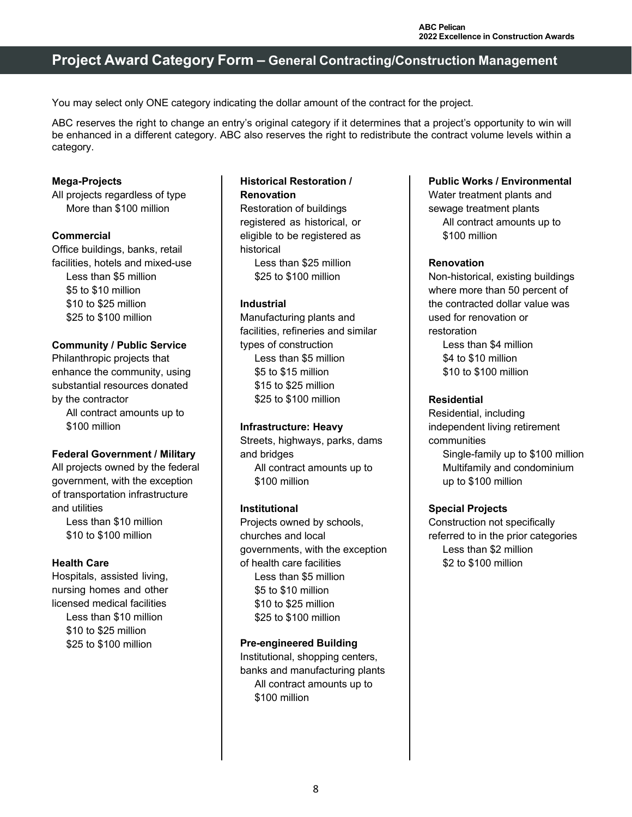## **Project Award Category Form – General Contracting/Construction Management**

You may select only ONE category indicating the dollar amount of the contract for the project.

ABC reserves the right to change an entry's original category if it determines that a project's opportunity to win will be enhanced in a different category. ABC also reserves the right to redistribute the contract volume levels within a category.

### **Mega-Projects**

All projects regardless of type More than \$100 million

#### **Commercial**

Office buildings, banks, retail facilities, hotels and mixed-use Less than \$5 million \$5 to \$10 million \$10 to \$25 million \$25 to \$100 million

#### **Community / Public Service**

Philanthropic projects that enhance the community, using substantial resources donated by the contractor All contract amounts up to \$100 million

#### **Federal Government / Military**

All projects owned by the federal government, with the exception of transportation infrastructure and utilities

Less than \$10 million \$10 to \$100 million

## **Health Care**

Hospitals, assisted living, nursing homes and other licensed medical facilities Less than \$10 million \$10 to \$25 million \$25 to \$100 million

## **Historical Restoration / Renovation**

Restoration of buildings registered as historical, or eligible to be registered as historical Less than \$25 million

\$25 to \$100 million

#### **Industrial**

Manufacturing plants and facilities, refineries and similar types of construction Less than \$5 million \$5 to \$15 million \$15 to \$25 million \$25 to \$100 million

#### **Infrastructure: Heavy**

Streets, highways, parks, dams and bridges All contract amounts up to \$100 million

#### **Institutional**

Projects owned by schools, churches and local governments, with the exception of health care facilities Less than \$5 million \$5 to \$10 million \$10 to \$25 million \$25 to \$100 million

#### **Pre-engineered Building**

Institutional, shopping centers, banks and manufacturing plants All contract amounts up to \$100 million

## **Public Works / Environmental**

Water treatment plants and sewage treatment plants All contract amounts up to \$100 million

#### **Renovation**

Non-historical, existing buildings where more than 50 percent of the contracted dollar value was used for renovation or restoration Less than \$4 million \$4 to \$10 million

\$10 to \$100 million

#### **Residential**

Residential, including independent living retirement communities Single-family up to \$100 million Multifamily and condominium up to \$100 million

#### **Special Projects**

Construction not specifically referred to in the prior categories Less than \$2 million \$2 to \$100 million